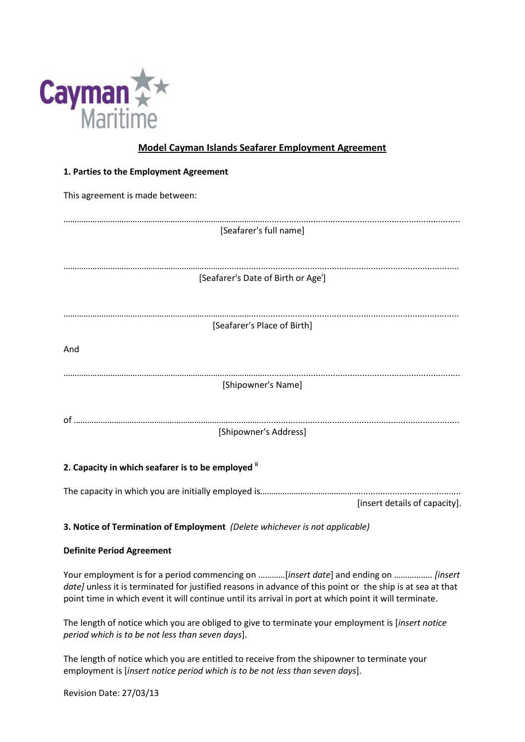

# **Model Cayman Islands Seafarer Employment Agreement**

| 1. Parties to the Employment Agreement          |  |  |  |  |  |
|-------------------------------------------------|--|--|--|--|--|
| This agreement is made between:                 |  |  |  |  |  |
| [Seafarer's full name]                          |  |  |  |  |  |
| [Seafarer's Date of Birth or Age <sup>i</sup> ] |  |  |  |  |  |
|                                                 |  |  |  |  |  |
| [Seafarer's Place of Birth]                     |  |  |  |  |  |
| And                                             |  |  |  |  |  |
|                                                 |  |  |  |  |  |
| [Shipowner's Name]                              |  |  |  |  |  |
|                                                 |  |  |  |  |  |
| [Shipowner's Address]                           |  |  |  |  |  |

# **2. Capacity in which seafarer is to be employed ii**

The capacity in which you are initially employed is…………………………………………………………………………… [insert details of capacity].

# **3. Notice of Termination of Employment** *(Delete whichever is not applicable)*

### **Definite Period Agreement**

Your employment is for a period commencing on …………[*insert date*] and ending on …………….. *[insert date]* unless it is terminated for justified reasons in advance of this point or the ship is at sea at that point time in which event it will continue until its arrival in port at which point it will terminate.

The length of notice which you are obliged to give to terminate your employment is [*insert notice period which is to be not less than seven days*].

The length of notice which you are entitled to receive from the shipowner to terminate your employment is [*insert notice period which is to be not less than seven days*].

|  |  | Revision Date: 27/03/13 |
|--|--|-------------------------|
|--|--|-------------------------|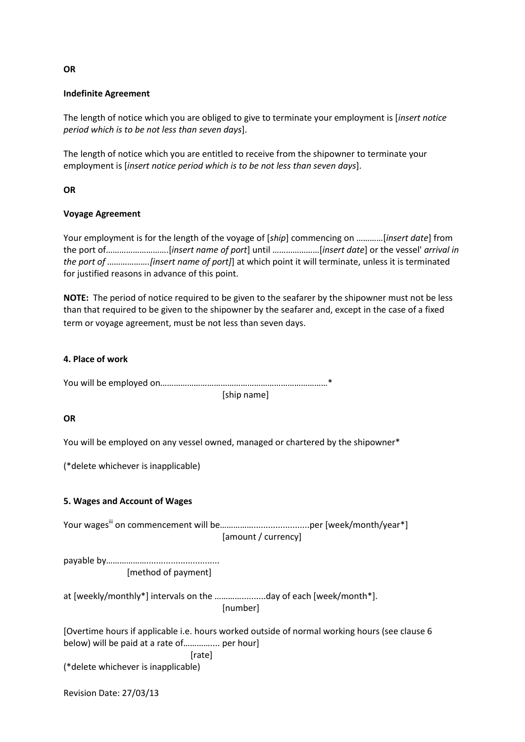### **Indefinite Agreement**

The length of notice which you are obliged to give to terminate your employment is [*insert notice period which is to be not less than seven days*].

The length of notice which you are entitled to receive from the shipowner to terminate your employment is [*insert notice period which is to be not less than seven days*].

#### **OR**

#### **Voyage Agreement**

Your employment is for the length of the voyage of [*ship*] commencing on …………[*insert date*] from the port of……………………….[*insert name of port*] until …………………[*insert date*] or the vessel' *arrival in the port of ……………….[insert name of port]*] at which point it will terminate, unless it is terminated for justified reasons in advance of this point.

**NOTE:** The period of notice required to be given to the seafarer by the shipowner must not be less than that required to be given to the shipowner by the seafarer and, except in the case of a fixed term or voyage agreement, must be not less than seven days.

#### **4. Place of work**

You will be employed on…………………………………………………………………\*

[ship name]

#### **OR**

You will be employed on any vessel owned, managed or chartered by the shipowner\*

(\*delete whichever is inapplicable)

### **5. Wages and Account of Wages**

Your wagesiii on commencement will be…………….......................per [week/month/year\*] [amount / currency]

payable by……………….............................. [method of payment]

at [weekly/monthly\*] intervals on the …………..........day of each [week/month\*]. [number]

[Overtime hours if applicable i.e. hours worked outside of normal working hours (see clause 6 below) will be paid at a rate of………….... per hour] [rate]

(\*delete whichever is inapplicable)

Revision Date: 27/03/13

**OR**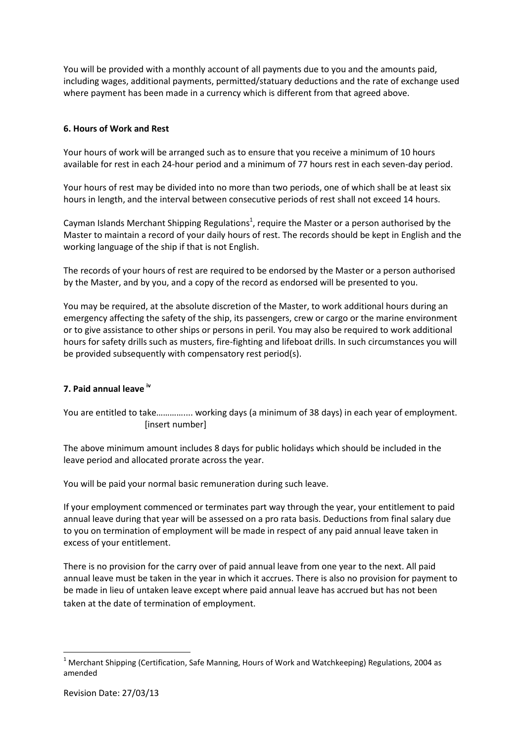You will be provided with a monthly account of all payments due to you and the amounts paid, including wages, additional payments, permitted/statuary deductions and the rate of exchange used where payment has been made in a currency which is different from that agreed above.

## **6. Hours of Work and Rest**

Your hours of work will be arranged such as to ensure that you receive a minimum of 10 hours available for rest in each 24-hour period and a minimum of 77 hours rest in each seven-day period.

Your hours of rest may be divided into no more than two periods, one of which shall be at least six hours in length, and the interval between consecutive periods of rest shall not exceed 14 hours.

Cayman Islands Merchant Shipping Regulations<sup>1</sup>, require the Master or a person authorised by the Master to maintain a record of your daily hours of rest. The records should be kept in English and the working language of the ship if that is not English.

The records of your hours of rest are required to be endorsed by the Master or a person authorised by the Master, and by you, and a copy of the record as endorsed will be presented to you.

You may be required, at the absolute discretion of the Master, to work additional hours during an emergency affecting the safety of the ship, its passengers, crew or cargo or the marine environment or to give assistance to other ships or persons in peril. You may also be required to work additional hours for safety drills such as musters, fire-fighting and lifeboat drills. In such circumstances you will be provided subsequently with compensatory rest period(s).

# **7. Paid annual leave iv**

You are entitled to take………….... working days (a minimum of 38 days) in each year of employment. [insert number]

The above minimum amount includes 8 days for public holidays which should be included in the leave period and allocated prorate across the year.

You will be paid your normal basic remuneration during such leave.

If your employment commenced or terminates part way through the year, your entitlement to paid annual leave during that year will be assessed on a pro rata basis. Deductions from final salary due to you on termination of employment will be made in respect of any paid annual leave taken in excess of your entitlement.

There is no provision for the carry over of paid annual leave from one year to the next. All paid annual leave must be taken in the year in which it accrues. There is also no provision for payment to be made in lieu of untaken leave except where paid annual leave has accrued but has not been taken at the date of termination of employment.

**.** 

 $1$  Merchant Shipping (Certification, Safe Manning, Hours of Work and Watchkeeping) Regulations, 2004 as amended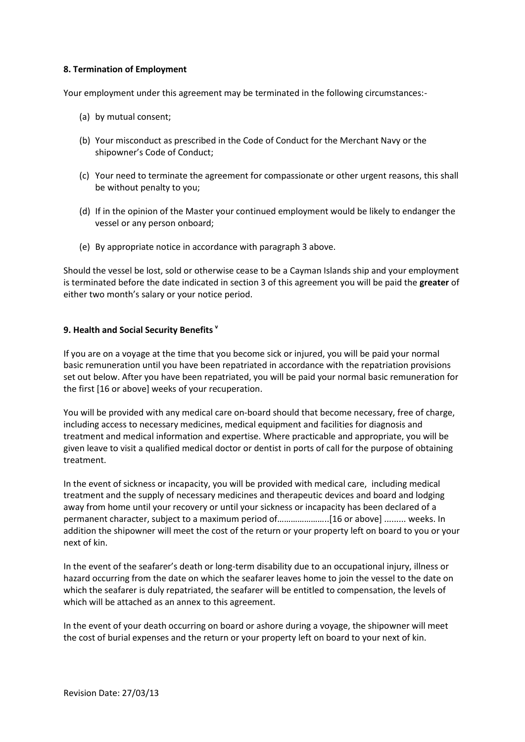### **8. Termination of Employment**

Your employment under this agreement may be terminated in the following circumstances:-

- (a) by mutual consent;
- (b) Your misconduct as prescribed in the Code of Conduct for the Merchant Navy or the shipowner's Code of Conduct;
- (c) Your need to terminate the agreement for compassionate or other urgent reasons, this shall be without penalty to you;
- (d) If in the opinion of the Master your continued employment would be likely to endanger the vessel or any person onboard;
- (e) By appropriate notice in accordance with paragraph 3 above.

Should the vessel be lost, sold or otherwise cease to be a Cayman Islands ship and your employment is terminated before the date indicated in section 3 of this agreement you will be paid the **greater** of either two month's salary or your notice period.

## **9. Health and Social Security Benefits <sup>v</sup>**

If you are on a voyage at the time that you become sick or injured, you will be paid your normal basic remuneration until you have been repatriated in accordance with the repatriation provisions set out below. After you have been repatriated, you will be paid your normal basic remuneration for the first [16 or above] weeks of your recuperation.

You will be provided with any medical care on-board should that become necessary, free of charge, including access to necessary medicines, medical equipment and facilities for diagnosis and treatment and medical information and expertise. Where practicable and appropriate, you will be given leave to visit a qualified medical doctor or dentist in ports of call for the purpose of obtaining treatment.

In the event of sickness or incapacity, you will be provided with medical care, including medical treatment and the supply of necessary medicines and therapeutic devices and board and lodging away from home until your recovery or until your sickness or incapacity has been declared of a permanent character, subject to a maximum period of…………………..[16 or above] ......... weeks. In addition the shipowner will meet the cost of the return or your property left on board to you or your next of kin.

In the event of the seafarer's death or long-term disability due to an occupational injury, illness or hazard occurring from the date on which the seafarer leaves home to join the vessel to the date on which the seafarer is duly repatriated, the seafarer will be entitled to compensation, the levels of which will be attached as an annex to this agreement.

In the event of your death occurring on board or ashore during a voyage, the shipowner will meet the cost of burial expenses and the return or your property left on board to your next of kin.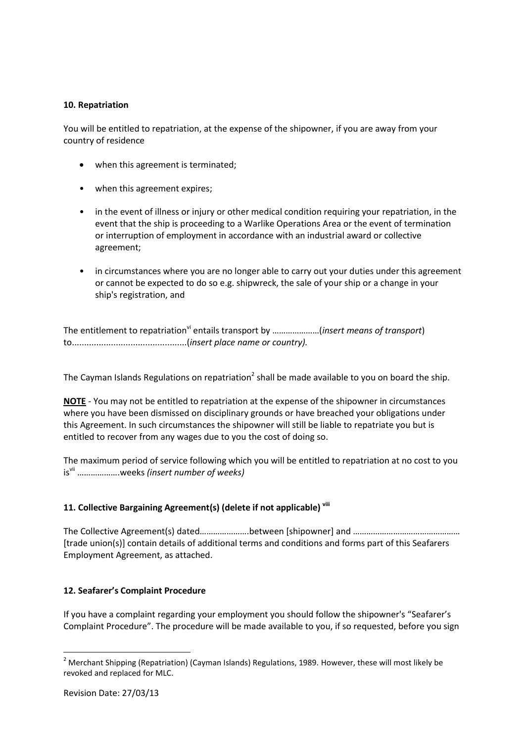### **10. Repatriation**

You will be entitled to repatriation, at the expense of the shipowner, if you are away from your country of residence

- when this agreement is terminated;
- when this agreement expires;
- in the event of illness or injury or other medical condition requiring your repatriation, in the event that the ship is proceeding to a Warlike Operations Area or the event of termination or interruption of employment in accordance with an industrial award or collective agreement;
- in circumstances where you are no longer able to carry out your duties under this agreement or cannot be expected to do so e.g. shipwreck, the sale of your ship or a change in your ship's registration, and

The entitlement to repatriation<sup>vi</sup> entails transport by ......................(*insert means of transport*) to...............................................(*insert place name or country).*

The Cayman Islands Regulations on repatriation<sup>2</sup> shall be made available to you on board the ship.

**NOTE** - You may not be entitled to repatriation at the expense of the shipowner in circumstances where you have been dismissed on disciplinary grounds or have breached your obligations under this Agreement. In such circumstances the shipowner will still be liable to repatriate you but is entitled to recover from any wages due to you the cost of doing so.

The maximum period of service following which you will be entitled to repatriation at no cost to you isvii ……………….weeks *(insert number of weeks)*

### **11. Collective Bargaining Agreement(s) (delete if not applicable) viii**

The Collective Agreement(s) dated………………….between [shipowner] and ………………………………………… [trade union(s)] contain details of additional terms and conditions and forms part of this Seafarers Employment Agreement, as attached.

### **12. Seafarer's Complaint Procedure**

If you have a complaint regarding your employment you should follow the shipowner's "Seafarer's Complaint Procedure". The procedure will be made available to you, if so requested, before you sign

**.** 

<sup>&</sup>lt;sup>2</sup> Merchant Shipping (Repatriation) (Cayman Islands) Regulations, 1989. However, these will most likely be revoked and replaced for MLC.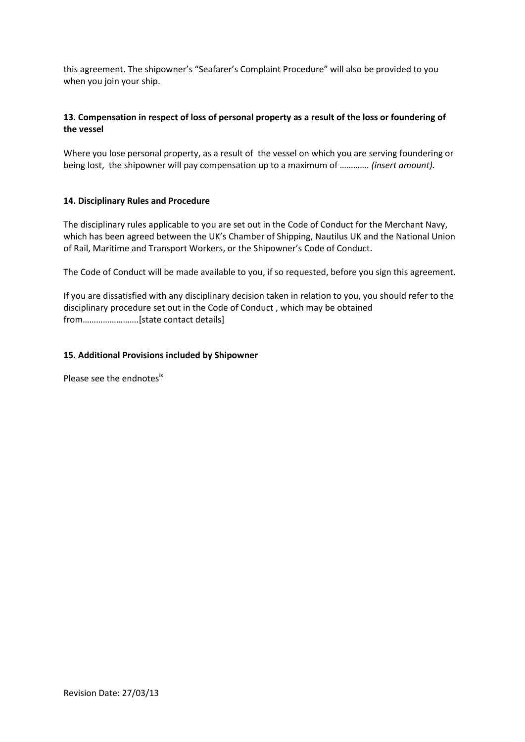this agreement. The shipowner's "Seafarer's Complaint Procedure" will also be provided to you when you join your ship.

# **13. Compensation in respect of loss of personal property as a result of the loss or foundering of the vessel**

Where you lose personal property, as a result of the vessel on which you are serving foundering or being lost, the shipowner will pay compensation up to a maximum of …………. *(insert amount).* 

## **14. Disciplinary Rules and Procedure**

The disciplinary rules applicable to you are set out in the Code of Conduct for the Merchant Navy, which has been agreed between the UK's Chamber of Shipping, Nautilus UK and the National Union of Rail, Maritime and Transport Workers, or the Shipowner's Code of Conduct.

The Code of Conduct will be made available to you, if so requested, before you sign this agreement.

If you are dissatisfied with any disciplinary decision taken in relation to you, you should refer to the disciplinary procedure set out in the Code of Conduct , which may be obtained from…………………….[state contact details]

## **15. Additional Provisions included by Shipowner**

Please see the endnotes<sup>ix</sup>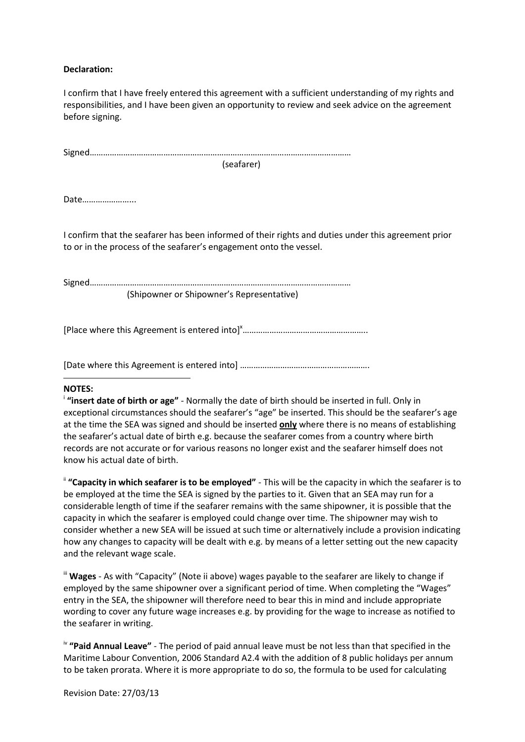### **Declaration:**

I confirm that I have freely entered this agreement with a sufficient understanding of my rights and responsibilities, and I have been given an opportunity to review and seek advice on the agreement before signing.

(seafarer)

Date…………………...

I confirm that the seafarer has been informed of their rights and duties under this agreement prior to or in the process of the seafarer's engagement onto the vessel.

Signed……………………………………………………………………………………………………… (Shipowner or Shipowner's Representative)

[Place where this Agreement is entered into] $x$ …………………………………………………………………………………………

[Date where this Agreement is entered into] ………………………………………………….

### **NOTES:**

**.** 

<sup>i</sup> "insert date of birth or age" - Normally the date of birth should be inserted in full. Only in exceptional circumstances should the seafarer's "age" be inserted. This should be the seafarer's age at the time the SEA was signed and should be inserted **only** where there is no means of establishing the seafarer's actual date of birth e.g. because the seafarer comes from a country where birth records are not accurate or for various reasons no longer exist and the seafarer himself does not know his actual date of birth.

ii **"Capacity in which seafarer is to be employed"** - This will be the capacity in which the seafarer is to be employed at the time the SEA is signed by the parties to it. Given that an SEA may run for a considerable length of time if the seafarer remains with the same shipowner, it is possible that the capacity in which the seafarer is employed could change over time. The shipowner may wish to consider whether a new SEA will be issued at such time or alternatively include a provision indicating how any changes to capacity will be dealt with e.g. by means of a letter setting out the new capacity and the relevant wage scale.

" Wages - As with "Capacity" (Note ii above) wages payable to the seafarer are likely to change if employed by the same shipowner over a significant period of time. When completing the "Wages" entry in the SEA, the shipowner will therefore need to bear this in mind and include appropriate wording to cover any future wage increases e.g. by providing for the wage to increase as notified to the seafarer in writing.

iv **"Paid Annual Leave"** - The period of paid annual leave must be not less than that specified in the Maritime Labour Convention, 2006 Standard A2.4 with the addition of 8 public holidays per annum to be taken prorata. Where it is more appropriate to do so, the formula to be used for calculating